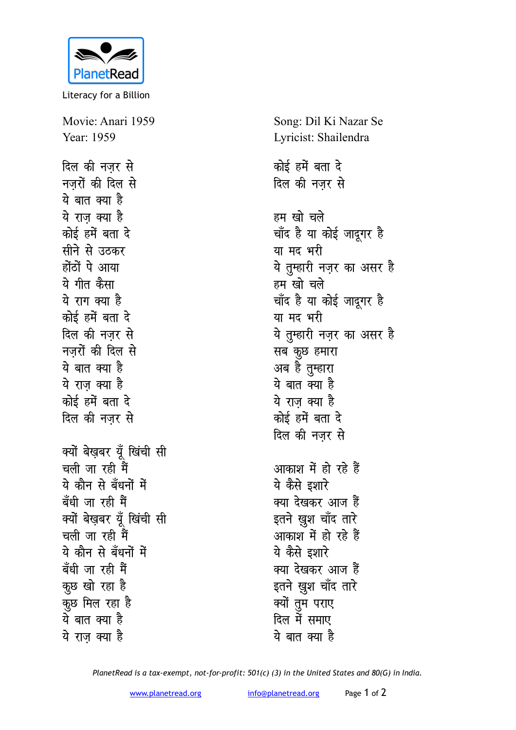

Literacy for a Billion

Movie: Anari 1959 Year: 1959 <u>दिल की नजर से</u>

**नजरों की दिल से** <u>ये बात क्या है</u> <u>ये</u> राज क्या है <u>कोई हमें बता दे</u> **सीने से उ**ठकर होंठों पे आया ये गीत कैसा <u>ये राग क्या है</u> <u>कोई हमें बता दे</u> दिल की नजर से **नजरों की दिल से** <u>ये बात क्या है</u> <u>ये राज क्या है</u> *कोई ह*में बता दे दिल की नजर से क्यों बेख़बर यूँ खिंची सी <u>चली जा रही मैं</u> ये कौन से बँधनों में बँधी जा रही मैं क्यों बेखबर यूँ खिंची सी <u>चली जा रही मैं</u> ये कौन से बँधनों में बँधी जा रही मैं कुछ खो रहा है कुछ मिल रहा ह<del>ै</del> <u>ये बात क्या है</u> <u>ये</u> राज क्या है

Song: Dil Ki Nazar Se Lyricist: Shailendra <u>कोई हमें बता दे</u> <u>दिल की नजर से</u> हम खो चले चाँद है या कोई जादूगर है या मद भरी ये तुम्हारी नज़र का असर ह<del>ै</del> हम खो चले चाँद है या कोई जादूगर ह<del>ै</del> या मद भरी ये तुम्हारी नज़र का असर ह<del>ै</del> **सब कुछ हमारा** अब है तुम्हारा ये बात क्या ह<del>ै</del> ये राज क्या है <u>कोई हमें बता दे</u> दिल की नजर से आकाश में हो रहे हैं ये कैसे इशार<del>े</del> क्या देखकर आज <del>ह</del>ैं इतने खुश चाँद तारे आकाश में हो रहे हैं ये कैसे **इशा**रे क्या देखकर आज <del>हैं</del> इतने ख़ूश चाँद तारे क्यों तूम पराए <u>दिल में समाए</u> ये बात क्या ह<del>ै</del>

*PlanetRead is a tax-exempt, not-for-profit: 501(c) (3) in the United States and 80(G) in India.*